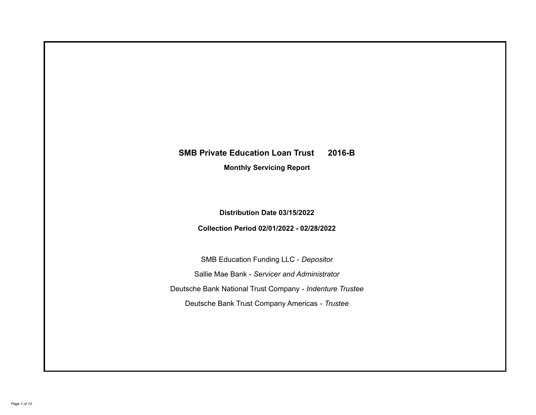# **SMB Private Education Loan Trust 2016-B**

**Monthly Servicing Report**

**Distribution Date 03/15/2022**

**Collection Period 02/01/2022 - 02/28/2022**

SMB Education Funding LLC - *Depositor* Sallie Mae Bank - *Servicer and Administrator* Deutsche Bank National Trust Company - *Indenture Trustee* Deutsche Bank Trust Company Americas - *Trustee*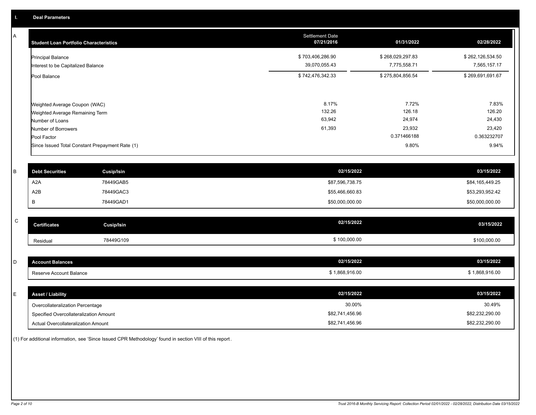A

| <b>Student Loan Portfolio Characteristics</b>                    | <b>Settlement Date</b><br>07/21/2016 | 01/31/2022                       | 02/28/2022                       |
|------------------------------------------------------------------|--------------------------------------|----------------------------------|----------------------------------|
| <b>Principal Balance</b><br>Interest to be Capitalized Balance   | \$703,406,286.90<br>39,070,055.43    | \$268,029,297.83<br>7,775,558.71 | \$262,126,534.50<br>7,565,157.17 |
| Pool Balance                                                     | \$742,476,342.33                     | \$275,804,856.54                 | \$269,691,691.67                 |
| Weighted Average Coupon (WAC)<br>Weighted Average Remaining Term | 8.17%<br>132.26                      | 7.72%<br>126.18                  | 7.83%<br>126.20                  |
| Number of Loans                                                  | 63,942                               | 24,974                           | 24,430                           |
| Number of Borrowers                                              | 61,393                               | 23,932                           | 23,420                           |
| Pool Factor                                                      |                                      | 0.371466188                      | 0.363232707                      |
| Since Issued Total Constant Prepayment Rate (1)                  |                                      | 9.80%                            | 9.94%                            |

| <b>Debt Securities</b> | <b>Cusip/Isin</b> | 02/15/2022      | 03/15/2022      |
|------------------------|-------------------|-----------------|-----------------|
| A2A                    | 78449GAB5         | \$87,596,738.75 | \$84,165,449.25 |
| A2B                    | 78449GAC3         | \$55,466,660.83 | \$53,293,952.42 |
|                        | 78449GAD1         | \$50,000,000.00 | \$50,000,000.00 |

| $\sim$<br>ີ | Certificates | Cusip/Isin | 02/15/2022   | 03/15/2022   |
|-------------|--------------|------------|--------------|--------------|
|             | Residual     | 78449G109  | \$100,000.00 | \$100,000.00 |

| - | <b>Account Balances</b> | 02/15/2022   | 03/15/2022 |
|---|-------------------------|--------------|------------|
|   | Reserve Account Balance | 1,868,916.00 | 868,916.00 |
|   |                         |              |            |

| ᄂ | <b>Asset / Liability</b>               | 02/15/2022      | 03/15/2022      |
|---|----------------------------------------|-----------------|-----------------|
|   | Overcollateralization Percentage       | 30.00%          | 30.49%          |
|   | Specified Overcollateralization Amount | \$82,741,456.96 | \$82,232,290.00 |
|   | Actual Overcollateralization Amount    | \$82,741,456.96 | \$82,232,290.00 |

(1) For additional information, see 'Since Issued CPR Methodology' found in section VIII of this report .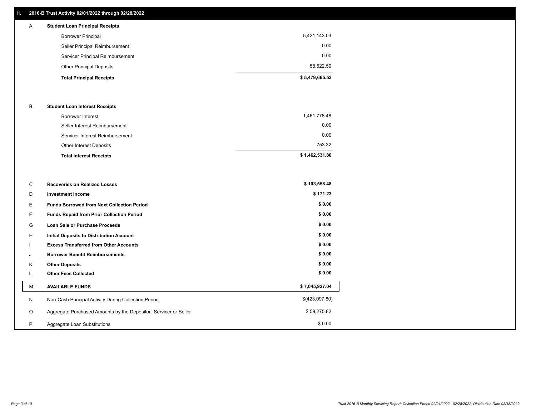# **II. 2016-B Trust Activity 02/01/2022 through 02/28/2022**

| $\mathsf{A}$ | <b>Student Loan Principal Receipts</b> |                |
|--------------|----------------------------------------|----------------|
|              | <b>Borrower Principal</b>              | 5,421,143.03   |
|              | Seller Principal Reimbursement         | 0.00           |
|              | Servicer Principal Reimbursement       | 0.00           |
|              | <b>Other Principal Deposits</b>        | 58,522.50      |
|              | <b>Total Principal Receipts</b>        | \$5,479,665.53 |

### B **Student Loan Interest Receipts**

| <b>Total Interest Receipts</b>  | \$1,462,531.80 |
|---------------------------------|----------------|
| Other Interest Deposits         | 753.32         |
| Servicer Interest Reimbursement | 0.00           |
| Seller Interest Reimbursement   | 0.00           |
| Borrower Interest               | 1,461,778.48   |

| C       | <b>Recoveries on Realized Losses</b>                             | \$103,558.48   |
|---------|------------------------------------------------------------------|----------------|
| D       | <b>Investment Income</b>                                         | \$171.23       |
| Е       | <b>Funds Borrowed from Next Collection Period</b>                | \$0.00         |
| F       | Funds Repaid from Prior Collection Period                        | \$0.00         |
| G       | Loan Sale or Purchase Proceeds                                   | \$0.00         |
| Н       | <b>Initial Deposits to Distribution Account</b>                  | \$0.00         |
|         | <b>Excess Transferred from Other Accounts</b>                    | \$0.00         |
| J       | <b>Borrower Benefit Reimbursements</b>                           | \$0.00         |
| Κ       | <b>Other Deposits</b>                                            | \$0.00         |
| L       | <b>Other Fees Collected</b>                                      | \$0.00         |
| М       | <b>AVAILABLE FUNDS</b>                                           | \$7,045,927.04 |
| N       | Non-Cash Principal Activity During Collection Period             | \$(423,097.80) |
| $\circ$ | Aggregate Purchased Amounts by the Depositor, Servicer or Seller | \$59,275.82    |
| P       | Aggregate Loan Substitutions                                     | \$0.00         |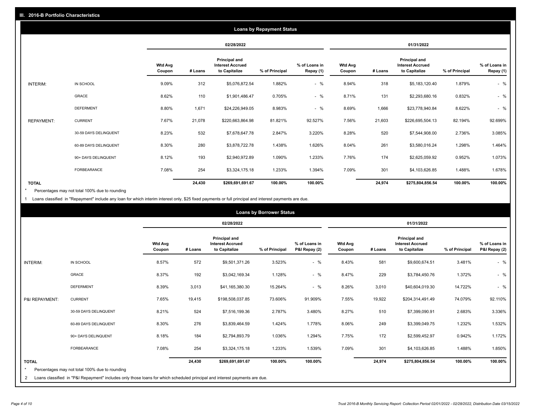|                   |                       |                          |         |                                                           | <b>Loans by Repayment Status</b> |                            |                          |         |                                                           |                |                            |
|-------------------|-----------------------|--------------------------|---------|-----------------------------------------------------------|----------------------------------|----------------------------|--------------------------|---------|-----------------------------------------------------------|----------------|----------------------------|
|                   |                       |                          |         | 02/28/2022                                                |                                  |                            |                          |         | 01/31/2022                                                |                |                            |
|                   |                       | <b>Wtd Avg</b><br>Coupon | # Loans | Principal and<br><b>Interest Accrued</b><br>to Capitalize | % of Principal                   | % of Loans in<br>Repay (1) | <b>Wtd Avg</b><br>Coupon | # Loans | Principal and<br><b>Interest Accrued</b><br>to Capitalize | % of Principal | % of Loans in<br>Repay (1) |
| INTERIM:          | IN SCHOOL             | 9.09%                    | 312     | \$5,076,872.54                                            | 1.882%                           | $-$ %                      | 8.94%                    | 318     | \$5,183,120.40                                            | 1.879%         | $-$ %                      |
|                   | GRACE                 | 8.62%                    | 110     | \$1,901,486.47                                            | 0.705%                           | $-$ %                      | 8.71%                    | 131     | \$2,293,680.16                                            | 0.832%         | $-$ %                      |
|                   | <b>DEFERMENT</b>      | 8.80%                    | 1,671   | \$24,226,949.05                                           | 8.983%                           | $-$ %                      | 8.69%                    | 1,666   | \$23,778,940.84                                           | 8.622%         | $-$ %                      |
| <b>REPAYMENT:</b> | <b>CURRENT</b>        | 7.67%                    | 21,078  | \$220,663,864.98                                          | 81.821%                          | 92.527%                    | 7.56%                    | 21,603  | \$226,695,504.13                                          | 82.194%        | 92.699%                    |
|                   | 30-59 DAYS DELINQUENT | 8.23%                    | 532     | \$7,678,647.78                                            | 2.847%                           | 3.220%                     | 8.28%                    | 520     | \$7,544,908.00                                            | 2.736%         | 3.085%                     |
|                   | 60-89 DAYS DELINQUENT | 8.30%                    | 280     | \$3,878,722.78                                            | 1.438%                           | 1.626%                     | 8.04%                    | 261     | \$3,580,016.24                                            | 1.298%         | 1.464%                     |
|                   | 90+ DAYS DELINQUENT   | 8.12%                    | 193     | \$2,940,972.89                                            | 1.090%                           | 1.233%                     | 7.76%                    | 174     | \$2,625,059.92                                            | 0.952%         | 1.073%                     |
|                   | <b>FORBEARANCE</b>    | 7.08%                    | 254     | \$3,324,175.18                                            | 1.233%                           | 1.394%                     | 7.09%                    | 301     | \$4,103,626.85                                            | 1.488%         | 1.678%                     |
| <b>TOTAL</b>      |                       |                          | 24,430  | \$269,691,691.67                                          | 100.00%                          | 100.00%                    |                          | 24,974  | \$275,804,856.54                                          | 100.00%        | 100.00%                    |

Percentages may not total 100% due to rounding \*

1 Loans classified in "Repayment" include any loan for which interim interest only, \$25 fixed payments or full principal and interest payments are due.

|                              |                                                                                                                                                                              |                          |         |                                                           | <b>Loans by Borrower Status</b> |                                |                          |         |                                                           |                |                                |
|------------------------------|------------------------------------------------------------------------------------------------------------------------------------------------------------------------------|--------------------------|---------|-----------------------------------------------------------|---------------------------------|--------------------------------|--------------------------|---------|-----------------------------------------------------------|----------------|--------------------------------|
|                              |                                                                                                                                                                              |                          |         | 02/28/2022                                                |                                 |                                |                          |         | 01/31/2022                                                |                |                                |
|                              |                                                                                                                                                                              | <b>Wtd Avg</b><br>Coupon | # Loans | Principal and<br><b>Interest Accrued</b><br>to Capitalize | % of Principal                  | % of Loans in<br>P&I Repay (2) | <b>Wtd Avg</b><br>Coupon | # Loans | Principal and<br><b>Interest Accrued</b><br>to Capitalize | % of Principal | % of Loans in<br>P&I Repay (2) |
| <b>INTERIM:</b>              | IN SCHOOL                                                                                                                                                                    | 8.57%                    | 572     | \$9,501,371.26                                            | 3.523%                          | $-$ %                          | 8.43%                    | 581     | \$9,600,674.51                                            | 3.481%         | $-$ %                          |
|                              | <b>GRACE</b>                                                                                                                                                                 | 8.37%                    | 192     | \$3,042,169.34                                            | 1.128%                          | $-$ %                          | 8.47%                    | 229     | \$3,784,450.76                                            | 1.372%         | $-$ %                          |
|                              | <b>DEFERMENT</b>                                                                                                                                                             | 8.39%                    | 3,013   | \$41,165,380.30                                           | 15.264%                         | $-$ %                          | 8.26%                    | 3,010   | \$40,604,019.30                                           | 14.722%        | $-$ %                          |
| P&I REPAYMENT:               | <b>CURRENT</b>                                                                                                                                                               | 7.65%                    | 19,415  | \$198,508,037.85                                          | 73.606%                         | 91.909%                        | 7.55%                    | 19,922  | \$204,314,491.49                                          | 74.079%        | 92.110%                        |
|                              | 30-59 DAYS DELINQUENT                                                                                                                                                        | 8.21%                    | 524     | \$7,516,199.36                                            | 2.787%                          | 3.480%                         | 8.27%                    | 510     | \$7,399,090.91                                            | 2.683%         | 3.336%                         |
|                              | 60-89 DAYS DELINQUENT                                                                                                                                                        | 8.30%                    | 276     | \$3,839,464.59                                            | 1.424%                          | 1.778%                         | 8.06%                    | 249     | \$3,399,049.75                                            | 1.232%         | 1.532%                         |
|                              | 90+ DAYS DELINQUENT                                                                                                                                                          | 8.18%                    | 184     | \$2,794,893.79                                            | 1.036%                          | 1.294%                         | 7.75%                    | 172     | \$2,599,452.97                                            | 0.942%         | 1.172%                         |
|                              | FORBEARANCE                                                                                                                                                                  | 7.08%                    | 254     | \$3,324,175.18                                            | 1.233%                          | 1.539%                         | 7.09%                    | 301     | \$4,103,626.85                                            | 1.488%         | 1.850%                         |
| <b>TOTAL</b><br>$\star$<br>2 | Percentages may not total 100% due to rounding<br>Loans classified in "P&I Repayment" includes only those loans for which scheduled principal and interest payments are due. |                          | 24,430  | \$269,691,691.67                                          | 100.00%                         | 100.00%                        |                          | 24,974  | \$275,804,856.54                                          | 100.00%        | 100.00%                        |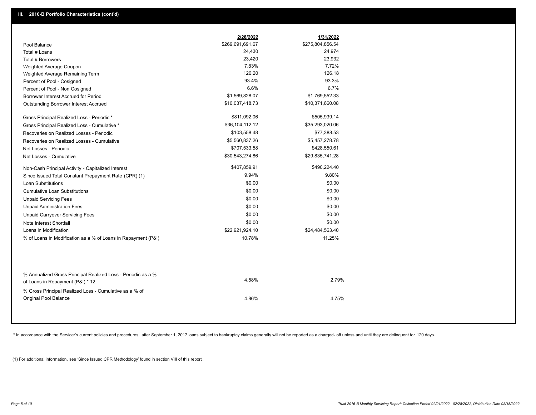|                                                                                                  | 2/28/2022        | 1/31/2022        |
|--------------------------------------------------------------------------------------------------|------------------|------------------|
| Pool Balance                                                                                     | \$269,691,691.67 | \$275,804,856.54 |
| Total # Loans                                                                                    | 24,430           | 24,974           |
| Total # Borrowers                                                                                | 23,420           | 23,932           |
| Weighted Average Coupon                                                                          | 7.83%            | 7.72%            |
| Weighted Average Remaining Term                                                                  | 126.20           | 126.18           |
| Percent of Pool - Cosigned                                                                       | 93.4%            | 93.3%            |
| Percent of Pool - Non Cosigned                                                                   | 6.6%             | 6.7%             |
| Borrower Interest Accrued for Period                                                             | \$1,569,828.07   | \$1,769,552.33   |
| Outstanding Borrower Interest Accrued                                                            | \$10,037,418.73  | \$10,371,660.08  |
| Gross Principal Realized Loss - Periodic *                                                       | \$811,092.06     | \$505,939.14     |
| Gross Principal Realized Loss - Cumulative *                                                     | \$36,104,112.12  | \$35,293,020.06  |
| Recoveries on Realized Losses - Periodic                                                         | \$103,558.48     | \$77,388.53      |
| Recoveries on Realized Losses - Cumulative                                                       | \$5,560,837.26   | \$5,457,278.78   |
| Net Losses - Periodic                                                                            | \$707,533.58     | \$428,550.61     |
| Net Losses - Cumulative                                                                          | \$30,543,274.86  | \$29,835,741.28  |
| Non-Cash Principal Activity - Capitalized Interest                                               | \$407,859.91     | \$490,224.40     |
| Since Issued Total Constant Prepayment Rate (CPR) (1)                                            | 9.94%            | 9.80%            |
| <b>Loan Substitutions</b>                                                                        | \$0.00           | \$0.00           |
| <b>Cumulative Loan Substitutions</b>                                                             | \$0.00           | \$0.00           |
| <b>Unpaid Servicing Fees</b>                                                                     | \$0.00           | \$0.00           |
| <b>Unpaid Administration Fees</b>                                                                | \$0.00           | \$0.00           |
| <b>Unpaid Carryover Servicing Fees</b>                                                           | \$0.00           | \$0.00           |
| Note Interest Shortfall                                                                          | \$0.00           | \$0.00           |
| Loans in Modification                                                                            | \$22,921,924.10  | \$24,484,563.40  |
| % of Loans in Modification as a % of Loans in Repayment (P&I)                                    | 10.78%           | 11.25%           |
|                                                                                                  |                  |                  |
| % Annualized Gross Principal Realized Loss - Periodic as a %<br>of Loans in Repayment (P&I) * 12 | 4.58%            | 2.79%            |
| % Gross Principal Realized Loss - Cumulative as a % of                                           |                  |                  |
| <b>Original Pool Balance</b>                                                                     | 4.86%            | 4.75%            |

\* In accordance with the Servicer's current policies and procedures, after September 1, 2017 loans subject to bankruptcy claims generally will not be reported as a charged- off unless and until they are delinquent for 120

(1) For additional information, see 'Since Issued CPR Methodology' found in section VIII of this report .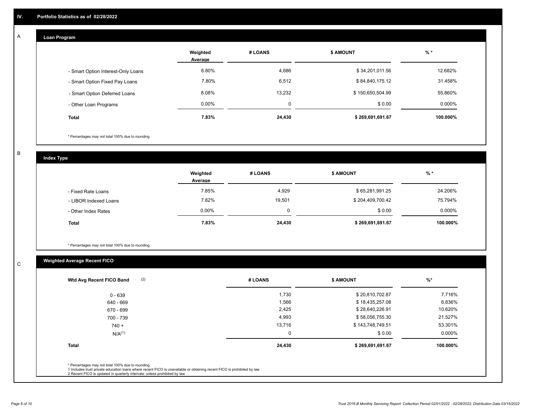#### **Loan Program**  A

|                                    | Weighted<br>Average | # LOANS  | <b>\$ AMOUNT</b> | $%$ *    |
|------------------------------------|---------------------|----------|------------------|----------|
| - Smart Option Interest-Only Loans | 6.80%               | 4,686    | \$34,201,011.56  | 12.682%  |
| - Smart Option Fixed Pay Loans     | 7.80%               | 6,512    | \$84,840,175.12  | 31.458%  |
| - Smart Option Deferred Loans      | 8.08%               | 13,232   | \$150,650,504.99 | 55.860%  |
| - Other Loan Programs              | $0.00\%$            | $\Omega$ | \$0.00           | 0.000%   |
| <b>Total</b>                       | 7.83%               | 24,430   | \$269,691,691.67 | 100.000% |

\* Percentages may not total 100% due to rounding

B

C

**Index Type**

|                       | Weighted<br>Average | # LOANS | \$ AMOUNT        | $%$ *     |
|-----------------------|---------------------|---------|------------------|-----------|
| - Fixed Rate Loans    | 7.85%               | 4,929   | \$65,281,991.25  | 24.206%   |
| - LIBOR Indexed Loans | 7.82%               | 19,501  | \$204,409,700.42 | 75.794%   |
| - Other Index Rates   | $0.00\%$            | O       | \$0.00           | $0.000\%$ |
| <b>Total</b>          | 7.83%               | 24,430  | \$269,691,691.67 | 100.000%  |

\* Percentages may not total 100% due to rounding

# **Weighted Average Recent FICO**

| (2)<br>Wtd Avg Recent FICO Band                                                                                                                                             | # LOANS | <b>\$ AMOUNT</b> | $%$ *    |
|-----------------------------------------------------------------------------------------------------------------------------------------------------------------------------|---------|------------------|----------|
| $0 - 639$                                                                                                                                                                   | 1,730   | \$20,810,702.87  | 7.716%   |
| 640 - 669                                                                                                                                                                   | 1,566   | \$18,435,257.08  | 6.836%   |
| 670 - 699                                                                                                                                                                   | 2,425   | \$28,640,226.91  | 10.620%  |
| 700 - 739                                                                                                                                                                   | 4,993   | \$58,056,755.30  | 21.527%  |
| $740 +$                                                                                                                                                                     | 13,716  | \$143,748,749.51 | 53.301%  |
| N/A <sup>(1)</sup>                                                                                                                                                          | 0       | \$0.00           | 0.000%   |
| <b>Total</b>                                                                                                                                                                | 24,430  | \$269,691,691.67 | 100.000% |
| * Percentages may not total 100% due to rounding<br>1 Includes trust private education loans where recent FICO is unavailable or obtaining recent FICO is prohibited by law |         |                  |          |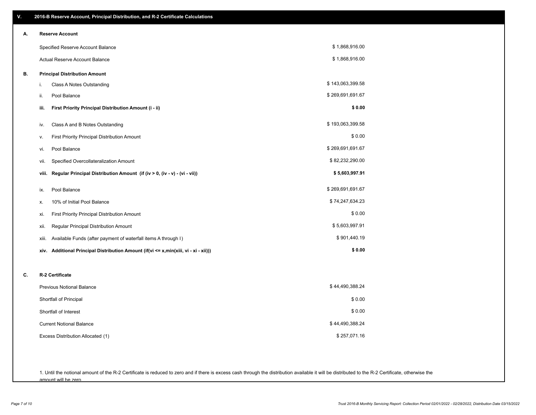| V. | 2016-B Reserve Account, Principal Distribution, and R-2 Certificate Calculations     |                  |
|----|--------------------------------------------------------------------------------------|------------------|
| А. | <b>Reserve Account</b>                                                               |                  |
|    | Specified Reserve Account Balance                                                    | \$1,868,916.00   |
|    | Actual Reserve Account Balance                                                       | \$1,868,916.00   |
| В. | <b>Principal Distribution Amount</b>                                                 |                  |
|    | Class A Notes Outstanding<br>i.                                                      | \$143,063,399.58 |
|    | ii.<br>Pool Balance                                                                  | \$269,691,691.67 |
|    | First Priority Principal Distribution Amount (i - ii)<br>iii.                        | \$0.00           |
|    | Class A and B Notes Outstanding<br>iv.                                               | \$193,063,399.58 |
|    | First Priority Principal Distribution Amount<br>ν.                                   | \$0.00           |
|    | Pool Balance<br>vi.                                                                  | \$269,691,691.67 |
|    | Specified Overcollateralization Amount<br>vii.                                       | \$82,232,290.00  |
|    | Regular Principal Distribution Amount (if (iv > 0, (iv - v) - (vi - vii))<br>viii.   | \$5,603,997.91   |
|    | Pool Balance<br>ix.                                                                  | \$269,691,691.67 |
|    | 10% of Initial Pool Balance<br>х.                                                    | \$74,247,634.23  |
|    | First Priority Principal Distribution Amount<br>xi.                                  | \$0.00           |
|    | Regular Principal Distribution Amount<br>xii.                                        | \$5,603,997.91   |
|    | Available Funds (after payment of waterfall items A through I)<br>xiii.              | \$901,440.19     |
|    | xiv. Additional Principal Distribution Amount (if(vi <= x,min(xiii, vi - xi - xii))) | \$0.00           |
| C. | R-2 Certificate                                                                      |                  |
|    | <b>Previous Notional Balance</b>                                                     | \$44,490,388.24  |
|    | Shortfall of Principal                                                               | \$0.00           |
|    | Shortfall of Interest                                                                | \$0.00           |
|    | <b>Current Notional Balance</b>                                                      | \$44,490,388.24  |
|    | Excess Distribution Allocated (1)                                                    | \$257,071.16     |
|    |                                                                                      |                  |
|    |                                                                                      |                  |

1. Until the notional amount of the R-2 Certificate is reduced to zero and if there is excess cash through the distribution available it will be distributed to the R-2 Certificate, otherwise the amount will be zero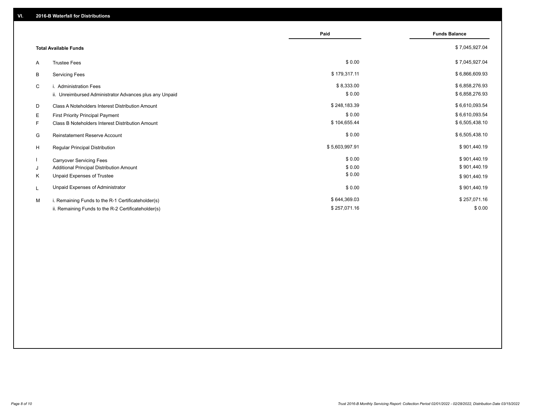|                                                         | Paid           | <b>Funds Balance</b> |
|---------------------------------------------------------|----------------|----------------------|
| <b>Total Available Funds</b>                            |                | \$7,045,927.04       |
| <b>Trustee Fees</b><br>A                                | \$0.00         | \$7,045,927.04       |
| В<br><b>Servicing Fees</b>                              | \$179,317.11   | \$6,866,609.93       |
| C<br>i. Administration Fees                             | \$8,333.00     | \$6,858,276.93       |
| ii. Unreimbursed Administrator Advances plus any Unpaid | \$0.00         | \$6,858,276.93       |
| D<br>Class A Noteholders Interest Distribution Amount   | \$248,183.39   | \$6,610,093.54       |
| Е<br>First Priority Principal Payment                   | \$0.00         | \$6,610,093.54       |
| Class B Noteholders Interest Distribution Amount<br>F.  | \$104,655.44   | \$6,505,438.10       |
| <b>Reinstatement Reserve Account</b><br>G               | \$0.00         | \$6,505,438.10       |
| H<br>Regular Principal Distribution                     | \$5,603,997.91 | \$901,440.19         |
| <b>Carryover Servicing Fees</b>                         | \$0.00         | \$901,440.19         |
| Additional Principal Distribution Amount<br>J           | \$0.00         | \$901,440.19         |
| Κ<br>Unpaid Expenses of Trustee                         | \$0.00         | \$901,440.19         |
| Unpaid Expenses of Administrator<br>L                   | \$0.00         | \$901,440.19         |
| M<br>i. Remaining Funds to the R-1 Certificateholder(s) | \$644,369.03   | \$257,071.16         |
| ii. Remaining Funds to the R-2 Certificateholder(s)     | \$257,071.16   | \$0.00               |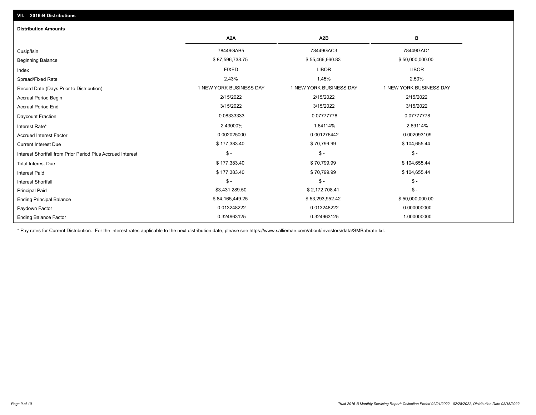# Ending Balance Factor Paydown Factor 0.013248222 0.013248222 0.000000000 Ending Principal Balance \$ 84,165,449.25 \$ 84,165,449.25 \$ 53,293,952.42 \$ 56,000,000.00 \$ 50,000,000.00 Principal Paid \$3,431,289.50 \$ 2,172,708.41 \$ - \$ - \$ - \$ - Interest Shortfall \$ 177,383.40 \$ 70,799.99 \$ 104,655.44 Interest Paid Total Interest Due \$ 177,383.40 \$ 70,799.99 \$ 104,655.44 \$ - \$ - \$ - Interest Shortfall from Prior Period Plus Accrued Interest Current Interest Due \$ 177,383.40 \$ 70,799.99 \$ 104,655.44 Accrued Interest Factor 0.002025000 0.001276442 0.002093109 Interest Rate\* 2.43000% 1.64114% 2.69114% Daycount Fraction 0.08333333 0.07777778 0.07777778 Accrual Period End 3/15/2022 3/15/2022 3/15/2022 Accrual Period Begin 2/15/2022 2/15/2022 2/15/2022 Record Date (Days Prior to Distribution) **1 NEW YORK BUSINESS DAY** 1 NEW YORK BUSINESS DAY 1 NEW YORK BUSINESS DAY Spread/Fixed Rate 2.43% 1.45% 2.50% Index FIXED LIBOR LIBOR Beginning Balance \$ 87,596,738.75 \$ \$7,596,738.75 \$ \$55,466,660.83 \$ 55,466,660.83 \$ 50,000,000.00 Cusip/Isin 78449GAB5 78449GAC3 78449GAD1 **A2A A2B B** 0.324963125 0.324963125 1.000000000 **Distribution Amounts**

\* Pay rates for Current Distribution. For the interest rates applicable to the next distribution date, please see https://www.salliemae.com/about/investors/data/SMBabrate.txt.

**VII. 2016-B Distributions**